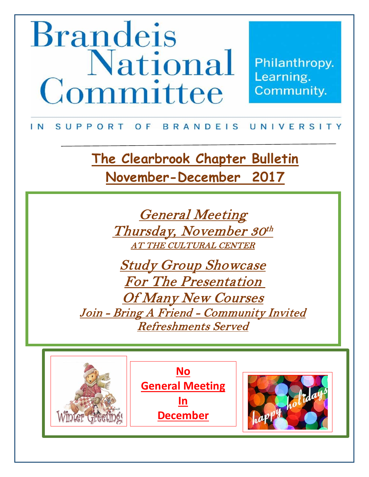# **Brandeis National The Community Community March – April 2016**

Philanthropy.

#### IN SUPPORT OF BRANDEIS UNIVERSITY

**The Clearbrook Chapter Bulletin November-December 2017**

**Become A Member- Renew Membership** AT THE CULTURAL CENTER General Meeting Thursday, November 30th

**Bring a friend – Refreshments Served** Study Group Showcase For The Presentation Of Many New Courses Join - Bring A Friend - Community Invited Refreshments Served



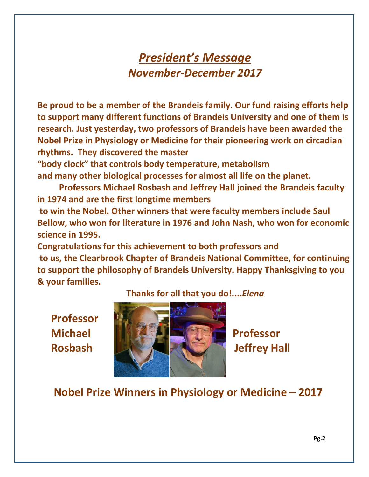## *President's Message November-December 2017*

**Be proud to be a member of the Brandeis family. Our fund raising efforts help to support many different functions of Brandeis University and one of them is research. Just yesterday, two professors of Brandeis have been awarded the Nobel Prize in Physiology or Medicine for their pioneering work on circadian rhythms. They discovered the master** 

**"body clock" that controls body temperature, metabolism and many other biological processes for almost all life on the planet.** 

**Professors Michael Rosbash and Jeffrey Hall joined the Brandeis faculty in 1974 and are the first longtime members**

**to win the Nobel. Other winners that were faculty members include Saul Bellow, who won for literature in 1976 and John Nash, who won for economic science in 1995.**

**Congratulations for this achievement to both professors and to us, the Clearbrook Chapter of Brandeis National Committee, for continuing to support the philosophy of Brandeis University. Happy Thanksgiving to you & your families.** 

 **Professor** 

#### **Thanks for all that you do!....***Elena*



### **Nobel Prize Winners in Physiology or Medicine – 2017**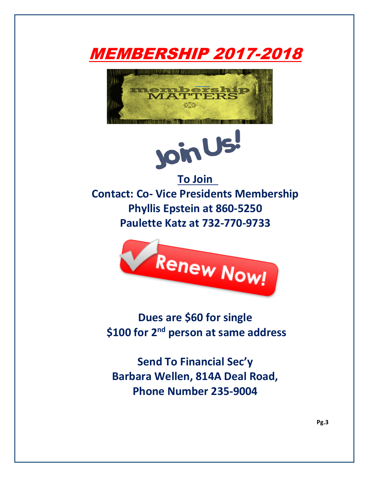





**Contact: Co- Vice Presidents Membership Phyllis Epstein at 860-5250 Paulette Katz at 732-770-9733**



**Dues are \$60 for single \$100 for 2nd person at same address**

**Send To Financial Sec'y Barbara Wellen, 814A Deal Road, Phone Number 235-9004**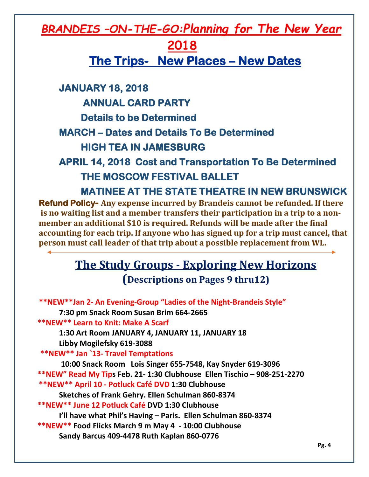## *BRANDEIS –ON-THE-GO:Planning for The New Year*

## **2018**

**The Trips- New Places – New Dates**

**JANUARY 18, 2018** 

 **ANNUAL CARD PARTY** 

 **Details to be Determined** 

**MARCH – Dates and Details To Be Determined** 

 **HIGH TEA IN JAMESBURG** 

## **APRIL 14, 2018 Cost and Transportation To Be Determined THE MOSCOW FESTIVAL BALLET**

 **MATINEE AT THE STATE THEATRE IN NEW BRUNSWICK** 

**Refund Policy- Any expense incurred by Brandeis cannot be refunded. If there is no waiting list and a member transfers their participation in a trip to a nonmember an additional \$10 is required. Refunds will be made after the final accounting for each trip. If anyone who has signed up for a trip must cancel, that person must call leader of that trip about a possible replacement from WL.** 

# **The Study Groups - Exploring New Horizons**

**(Descriptions on Pages 9 thru12)**

| **NEW**Jan 2- An Evening-Group "Ladies of the Night-Brandeis Style"      |       |
|--------------------------------------------------------------------------|-------|
| 7:30 pm Snack Room Susan Brim 664-2665                                   |       |
| **NEW** Learn to Knit: Make A Scarf                                      |       |
| 1:30 Art Room JANUARY 4, JANUARY 11, JANUARY 18                          |       |
| Libby Mogilefsky 619-3088                                                |       |
| <b>**NEW** Jan `13- Travel Temptations</b>                               |       |
| 10:00 Snack Room Lois Singer 655-7548, Kay Snyder 619-3096               |       |
| **NEW" Read My Tips Feb. 21- 1:30 Clubhouse Ellen Tischio - 908-251-2270 |       |
| **NEW** April 10 - Potluck Café DVD 1:30 Clubhouse                       |       |
| Sketches of Frank Gehry. Ellen Schulman 860-8374                         |       |
| **NEW** June 12 Potluck Café DVD 1:30 Clubhouse                          |       |
| I'll have what Phil's Having - Paris. Ellen Schulman 860-8374            |       |
| **NEW** Food Flicks March 9 m May 4 - 10:00 Clubhouse                    |       |
| Sandy Barcus 409-4478 Ruth Kaplan 860-0776                               |       |
|                                                                          | Pg. 4 |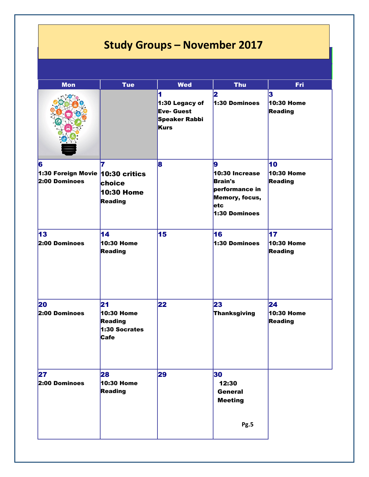## **Study Groups – November 2017**

| <b>Mon</b>                                                | <b>Tue</b>                                                         | <b>Wed</b>                                                                      | <b>Thu</b>                                                                                                  | <b>Fri</b>                         |
|-----------------------------------------------------------|--------------------------------------------------------------------|---------------------------------------------------------------------------------|-------------------------------------------------------------------------------------------------------------|------------------------------------|
|                                                           |                                                                    | 1<br>1:30 Legacy of<br><b>Eve- Guest</b><br><b>Speaker Rabbi</b><br><b>Kurs</b> | 2<br>1:30 Dominoes                                                                                          | 3<br>10:30 Home<br>Reading         |
| 6<br>1:30 Foreign Movie $ 10:30$ critics<br>2:00 Dominoes | 7<br>choice<br><b>10:30 Home</b><br>Reading                        | 8                                                                               | 9<br>10:30 Increase<br><b>Brain's</b><br>performance in<br>Memory, focus,<br><b>letc</b><br>$1:30$ Dominoes | 10<br>10:30 Home<br><b>Reading</b> |
| 13<br>2:00 Dominoes                                       | 14<br>10:30 Home<br><b>Reading</b>                                 | 15                                                                              | 16<br>1:30 Dominoes                                                                                         | 17<br>10:30 Home<br><b>Reading</b> |
| 20<br>$2:00$ Dominoes                                     | 21<br>10:30 Home<br><b>Reading</b><br>1:30 Socrates<br><b>Cafe</b> | 22                                                                              | 23<br>Thanksgiving                                                                                          | 24<br>10:30 Home<br><b>Reading</b> |
| 27<br>2:00 Dominoes                                       | 28<br>10:30 Home<br>Reading                                        | 29                                                                              | 30<br>12:30<br><b>General</b><br><b>Meeting</b><br>Pg.5                                                     |                                    |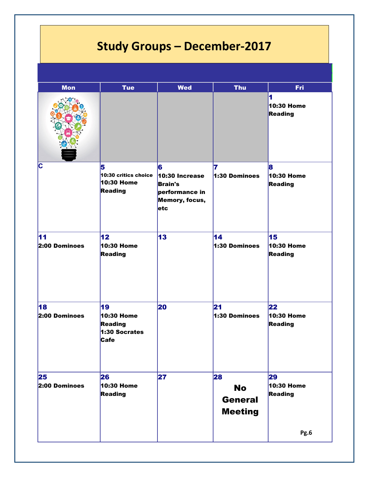# **Study Groups – December-2017**

| <b>Mon</b>          | <b>Tue</b>                                                  | <b>Wed</b>                                                                       | <b>Thu</b>                                          | <b>Fri</b>                               |
|---------------------|-------------------------------------------------------------|----------------------------------------------------------------------------------|-----------------------------------------------------|------------------------------------------|
|                     |                                                             |                                                                                  |                                                     | 1<br>10:30 Home<br>Reading               |
| C                   | 5<br>10:30 critics choice<br>10:30 Home<br>Reading          | 6<br>10:30 Increase<br><b>Brain's</b><br>performance in<br>Memory, focus,<br>etc | 7<br>1:30 Dominoes                                  | 8<br>10:30 Home<br>Reading               |
| 11<br>2:00 Dominoes | 12<br>10:30 Home<br>Reading                                 | $\overline{13}$                                                                  | $\overline{14}$<br>1:30 Dominoes                    | 15<br>10:30 Home<br>Reading              |
| 18<br>2:00 Dominoes | 19<br>10:30 Home<br>Reading<br>1:30 Socrates<br><b>Cafe</b> | 20                                                                               | 21<br>1:30 Dominoes                                 | $\overline{22}$<br>10:30 Home<br>Reading |
| 25<br>2:00 Dominoes | 26<br>10:30 Home<br>Reading                                 | 27                                                                               | 28<br><b>No</b><br><b>General</b><br><b>Meeting</b> | 29<br>10:30 Home<br>Reading<br>Pg.6      |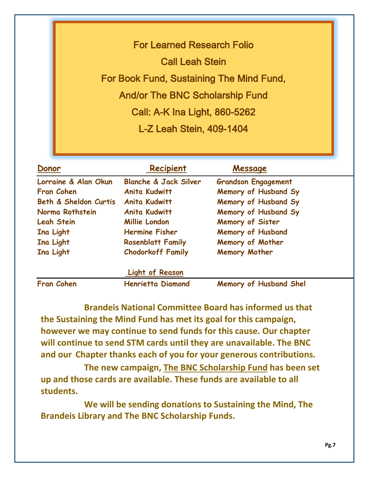For Learned Research Folio Call Leah Stein For Book Fund, Sustaining The Mind Fund, And/or The BNC Scholarship Fund Call: A-K Ina Light, 860-5262 L-Z Leah Stein, 409-1404

| Donor                 | Recipient                        | Message                       |
|-----------------------|----------------------------------|-------------------------------|
| Lorraine & Alan Okun  | <b>Blanche &amp; Jack Silver</b> | <b>Grandson Engagement</b>    |
| <b>Fran Cohen</b>     | <b>Anita Kudwitt</b>             | Memory of Husband Sy          |
| Beth & Sheldon Curtis | <b>Anita Kudwitt</b>             | Memory of Husband Sy          |
| Norma Rothstein       | <b>Anita Kudwitt</b>             | Memory of Husband Sy          |
| <b>Leah Stein</b>     | Millie London                    | Memory of Sister              |
| Ina Light             | <b>Hermine Fisher</b>            | <b>Memory of Husband</b>      |
| Ina Light             | <b>Rosenblatt Family</b>         | Memory of Mother              |
| Ina Light             | <b>Chodorkoff Family</b>         | Memory Mother                 |
|                       | <b>Light of Reason</b>           |                               |
| <b>Fran Cohen</b>     | <b>Henrietta Diamond</b>         | <b>Memory of Husband Shel</b> |

**Brandeis National Committee Board has informed us that the Sustaining the Mind Fund has met its goal for this campaign, however we may continue to send funds for this cause. Our chapter will continue to send STM cards until they are unavailable. The BNC and our Chapter thanks each of you for your generous contributions.**

**The new campaign, The BNC Scholarship Fund has been set up and those cards are available. These funds are available to all students.**

**We will be sending donations to Sustaining the Mind, The Brandeis Library and The BNC Scholarship Funds.**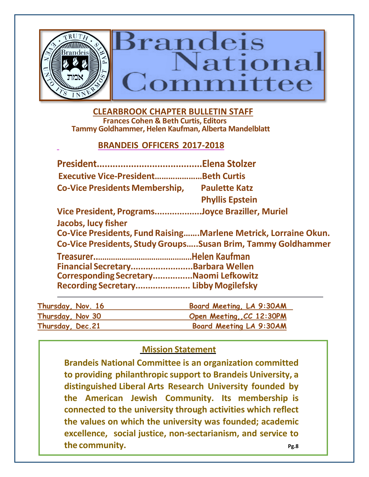

 **CLEARBROOK CHAPTER BULLETIN STAFF Frances Cohen & Beth Curtis, Editors Tammy Goldhammer, Helen Kaufman, Alberta Mandelblatt**

#### **BRANDEIS OFFICERS 2017-2018**

|                                                                             | <b>Elena Stolzer</b>                                            |
|-----------------------------------------------------------------------------|-----------------------------------------------------------------|
| <b>Executive Vice-PresidentBeth Curtis</b>                                  |                                                                 |
| <b>Co-Vice Presidents Membership,</b>                                       | <b>Paulette Katz</b>                                            |
|                                                                             | <b>Phyllis Epstein</b>                                          |
| Vice President, ProgramsJoyce Braziller, Muriel                             |                                                                 |
| <b>Jacobs, lucy fisher</b>                                                  |                                                                 |
|                                                                             | Co-Vice Presidents, Fund RaisingMarlene Metrick, Lorraine Okun. |
|                                                                             | Co-Vice Presidents, Study Groups Susan Brim, Tammy Goldhammer   |
|                                                                             |                                                                 |
|                                                                             |                                                                 |
|                                                                             |                                                                 |
| Financial SecretaryBarbara Wellen<br>Corresponding SecretaryNaomi Lefkowitz |                                                                 |

| Thursday, Nov. 16 | Board Meeting, LA 9:30AM |
|-------------------|--------------------------|
| Thursday, Nov 30  | Open Meeting, CC 12:30PM |
| Thursday, Dec. 21 | Board Meeting LA 9:30AM  |

#### **Mission Statement**

**Brandeis National Committee is an organization committed to providing philanthropic support to Brandeis University, a distinguished Liberal Arts Research University founded by the American Jewish Community. Its membership is connected to the university through activities which reflect the values on which the university was founded; academic excellence, social justice, non-sectarianism, and service to the community.** Pg.8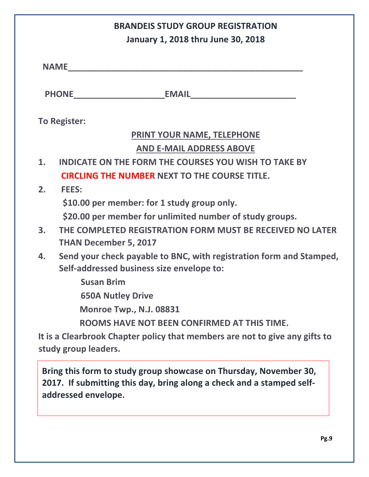|    | <b>BRANDEIS STUDY GROUP REGISTRATION</b>                                                                                                                          |  |  |  |
|----|-------------------------------------------------------------------------------------------------------------------------------------------------------------------|--|--|--|
|    | January 1, 2018 thru June 30, 2018                                                                                                                                |  |  |  |
|    | <b>NAME</b>                                                                                                                                                       |  |  |  |
|    |                                                                                                                                                                   |  |  |  |
|    | <b>To Register:</b>                                                                                                                                               |  |  |  |
|    | PRINT YOUR NAME, TELEPHONE                                                                                                                                        |  |  |  |
|    | <b>AND E-MAIL ADDRESS ABOVE</b>                                                                                                                                   |  |  |  |
| 1. | <b>INDICATE ON THE FORM THE COURSES YOU WISH TO TAKE BY</b>                                                                                                       |  |  |  |
|    | <b>CIRCLING THE NUMBER NEXT TO THE COURSE TITLE.</b>                                                                                                              |  |  |  |
| 2. | <b>FEES:</b>                                                                                                                                                      |  |  |  |
|    | \$10.00 per member: for 1 study group only.                                                                                                                       |  |  |  |
|    | \$20.00 per member for unlimited number of study groups.                                                                                                          |  |  |  |
| 3. | THE COMPLETED REGISTRATION FORM MUST BE RECEIVED NO LATER<br><b>THAN December 5, 2017</b>                                                                         |  |  |  |
| 4. | Send your check payable to BNC, with registration form and Stamped,<br>Self-addressed business size envelope to:                                                  |  |  |  |
|    | <b>Susan Brim</b>                                                                                                                                                 |  |  |  |
|    | <b>650A Nutley Drive</b>                                                                                                                                          |  |  |  |
|    | <b>Monroe Twp., N.J. 08831</b>                                                                                                                                    |  |  |  |
|    | ROOMS HAVE NOT BEEN CONFIRMED AT THIS TIME.                                                                                                                       |  |  |  |
|    | It is a Clearbrook Chapter policy that members are not to give any gifts to                                                                                       |  |  |  |
|    | study group leaders.                                                                                                                                              |  |  |  |
|    | Bring this form to study group showcase on Thursday, November 30,<br>2017. If submitting this day, bring along a check and a stamped self-<br>addressed envelope. |  |  |  |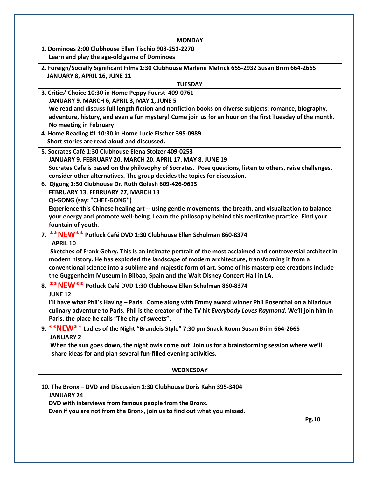| <b>MONDAY</b>                                                                                                                                                           |
|-------------------------------------------------------------------------------------------------------------------------------------------------------------------------|
| 1. Dominoes 2:00 Clubhouse Ellen Tischio 908-251-2270                                                                                                                   |
| Learn and play the age-old game of Dominoes                                                                                                                             |
| 2. Foreign/Socially Significant Films 1:30 Clubhouse Marlene Metrick 655-2932 Susan Brim 664-2665                                                                       |
| JANUARY 8, APRIL 16, JUNE 11                                                                                                                                            |
| <b>TUESDAY</b>                                                                                                                                                          |
| 3. Critics' Choice 10:30 in Home Peppy Fuerst 409-0761                                                                                                                  |
| JANUARY 9, MARCH 6, APRIL 3, MAY 1, JUNE 5                                                                                                                              |
| We read and discuss full length fiction and nonfiction books on diverse subjects: romance, biography,                                                                   |
| adventure, history, and even a fun mystery! Come join us for an hour on the first Tuesday of the month.                                                                 |
| No meeting in February                                                                                                                                                  |
| 4. Home Reading #1 10:30 in Home Lucie Fischer 395-0989                                                                                                                 |
| Short stories are read aloud and discussed.                                                                                                                             |
| 5. Socrates Café 1:30 Clubhouse Elena Stolzer 409-0253                                                                                                                  |
| JANUARY 9, FEBRUARY 20, MARCH 20, APRIL 17, MAY 8, JUNE 19<br>Socrates Cafe is based on the philosophy of Socrates. Pose questions, listen to others, raise challenges, |
| consider other alternatives. The group decides the topics for discussion.                                                                                               |
| 6. Qigong 1:30 Clubhouse Dr. Ruth Golush 609-426-9693                                                                                                                   |
| FEBRUARY 13, FEBRUARY 27, MARCH 13                                                                                                                                      |
| QI-GONG (say: "CHEE-GONG")                                                                                                                                              |
| Experience this Chinese healing art -- using gentle movements, the breath, and visualization to balance                                                                 |
| your energy and promote well-being. Learn the philosophy behind this meditative practice. Find your                                                                     |
| fountain of youth.                                                                                                                                                      |
| 7. ** NEW** Potluck Café DVD 1:30 Clubhouse Ellen Schulman 860-8374                                                                                                     |
| <b>APRIL 10</b>                                                                                                                                                         |
| Sketches of Frank Gehry. This is an intimate portrait of the most acclaimed and controversial architect in                                                              |
| modern history. He has exploded the landscape of modern architecture, transforming it from a                                                                            |
| conventional science into a sublime and majestic form of art. Some of his masterpiece creations include                                                                 |
| the Guggenheim Museum in Bilbao, Spain and the Walt Disney Concert Hall in LA.                                                                                          |
| 8. ** NEW** Potluck Café DVD 1:30 Clubhouse Ellen Schulman 860-8374                                                                                                     |
| <b>JUNE 12</b>                                                                                                                                                          |
| I'll have what Phil's Having - Paris. Come along with Emmy award winner Phil Rosenthal on a hilarious                                                                   |
| culinary adventure to Paris. Phil is the creator of the TV hit Everybody Loves Raymond. We'll join him in                                                               |
| Paris, the place he calls "The city of sweets".                                                                                                                         |
| 9. **NEW** Ladies of the Night "Brandeis Style" 7:30 pm Snack Room Susan Brim 664-2665                                                                                  |
| <b>JANUARY 2</b>                                                                                                                                                        |
| When the sun goes down, the night owls come out! Join us for a brainstorming session where we'll<br>share ideas for and plan several fun-filled evening activities.     |
|                                                                                                                                                                         |
| <b>WEDNESDAY</b>                                                                                                                                                        |
| 10. The Bronx - DVD and Discussion 1:30 Clubhouse Doris Kahn 395-3404                                                                                                   |
| <b>JANUARY 24</b>                                                                                                                                                       |
| DVD with interviews from famous people from the Bronx.                                                                                                                  |

 **Even if you are not from the Bronx, join us to find out what you missed.** 

 **Pg.10**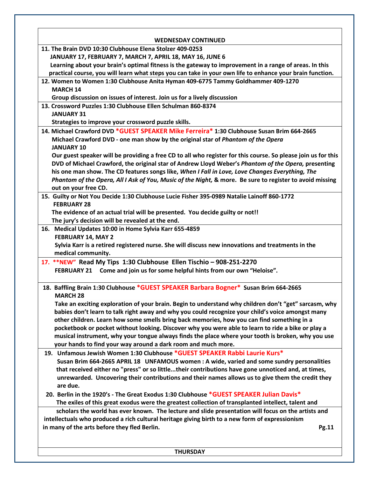| 11. The Brain DVD 10:30 Clubhouse Elena Stolzer 409-0253<br>JANUARY 17, FEBRUARY 7, MARCH 7, APRIL 18, MAY 16, JUNE 6<br>Learning about your brain's optimal fitness is the gateway to improvement in a range of areas. In this<br>practical course, you will learn what steps you can take in your own life to enhance your brain function.<br>12. Women to Women 1:30 Clubhouse Anita Hyman 409-6775 Tammy Goldhammer 409-1270<br><b>MARCH 14</b><br>Group discussion on issues of interest. Join us for a lively discussion<br>13. Crossword Puzzles 1:30 Clubhouse Ellen Schulman 860-8374<br><b>JANUARY 31</b><br>Strategies to improve your crossword puzzle skills.<br>14. Michael Crawford DVD *GUEST SPEAKER Mike Ferreira* 1:30 Clubhouse Susan Brim 664-2665<br>Michael Crawford DVD - one man show by the original star of Phantom of the Opera<br><b>JANUARY 10</b><br>Our guest speaker will be providing a free CD to all who register for this course. So please join us for this<br>DVD of Michael Crawford, the original star of Andrew Lloyd Weber's Phantom of the Opera, presenting<br>his one man show. The CD features songs like, When I Fall in Love, Love Changes Everything, The<br>Phantom of the Opera, All I Ask of You, Music of the Night, & more. Be sure to register to avoid missing<br>out on your free CD.<br>15. Guilty or Not You Decide 1:30 Clubhouse Lucie Fisher 395-0989 Natalie Lainoff 860-1772<br><b>FEBRUARY 28</b><br>The evidence of an actual trial will be presented. You decide guilty or not!!<br>The jury's decision will be revealed at the end.<br>16. Medical Updates 10:00 in Home Sylvia Karr 655-4859<br>FEBRUARY 14, MAY 2<br>Sylvia Karr is a retired registered nurse. She will discuss new innovations and treatments in the<br>medical community.<br>17. ** NEW" Read My Tips 1:30 Clubhouse Ellen Tischio - 908-251-2270<br>FEBRUARY 21 Come and join us for some helpful hints from our own "Heloise".<br>18. Baffling Brain 1:30 Clubhouse *GUEST SPEAKER Barbara Bogner* Susan Brim 664-2665<br><b>MARCH 28</b><br>Take an exciting exploration of your brain. Begin to understand why children don't "get" sarcasm, why<br>babies don't learn to talk right away and why you could recognize your child's voice amongst many<br>other children. Learn how some smells bring back memories, how you can find something in a<br>pocketbook or pocket without looking. Discover why you were able to learn to ride a bike or play a<br>musical instrument, why your tongue always finds the place where your tooth is broken, why you use<br>your hands to find your way around a dark room and much more.<br>19. Unfamous Jewish Women 1:30 Clubhouse *GUEST SPEAKER Rabbi Laurie Kurs*<br>Susan Brim 664-2665 APRIL 18 UNFAMOUS women: A wide, varied and some sundry personalities<br>that received either no "press" or so littletheir contributions have gone unnoticed and, at times,<br>unrewarded. Uncovering their contributions and their names allows us to give them the credit they<br>are due.<br>20. Berlin in the 1920's - The Great Exodus 1:30 Clubhouse *GUEST SPEAKER Julian Davis*<br>The exiles of this great exodus were the greatest collection of transplanted intellect, talent and<br>scholars the world has ever known. The lecture and slide presentation will focus on the artists and<br>intellectuals who produced a rich cultural heritage giving birth to a new form of expressionism<br>in many of the arts before they fled Berlin.<br>Pg.11 |                            |
|------------------------------------------------------------------------------------------------------------------------------------------------------------------------------------------------------------------------------------------------------------------------------------------------------------------------------------------------------------------------------------------------------------------------------------------------------------------------------------------------------------------------------------------------------------------------------------------------------------------------------------------------------------------------------------------------------------------------------------------------------------------------------------------------------------------------------------------------------------------------------------------------------------------------------------------------------------------------------------------------------------------------------------------------------------------------------------------------------------------------------------------------------------------------------------------------------------------------------------------------------------------------------------------------------------------------------------------------------------------------------------------------------------------------------------------------------------------------------------------------------------------------------------------------------------------------------------------------------------------------------------------------------------------------------------------------------------------------------------------------------------------------------------------------------------------------------------------------------------------------------------------------------------------------------------------------------------------------------------------------------------------------------------------------------------------------------------------------------------------------------------------------------------------------------------------------------------------------------------------------------------------------------------------------------------------------------------------------------------------------------------------------------------------------------------------------------------------------------------------------------------------------------------------------------------------------------------------------------------------------------------------------------------------------------------------------------------------------------------------------------------------------------------------------------------------------------------------------------------------------------------------------------------------------------------------------------------------------------------------------------------------------------------------------------------------------------------------------------------------------------------------------------------------------------------------------------------------------------------------------------------------------------------------------------------------------------------------------------------------------------------------------------------------------------------------------------------------------------------------------------------------------------------------------------|----------------------------|
|                                                                                                                                                                                                                                                                                                                                                                                                                                                                                                                                                                                                                                                                                                                                                                                                                                                                                                                                                                                                                                                                                                                                                                                                                                                                                                                                                                                                                                                                                                                                                                                                                                                                                                                                                                                                                                                                                                                                                                                                                                                                                                                                                                                                                                                                                                                                                                                                                                                                                                                                                                                                                                                                                                                                                                                                                                                                                                                                                                                                                                                                                                                                                                                                                                                                                                                                                                                                                                                                                                                                                      | <b>WEDNESDAY CONTINUED</b> |
|                                                                                                                                                                                                                                                                                                                                                                                                                                                                                                                                                                                                                                                                                                                                                                                                                                                                                                                                                                                                                                                                                                                                                                                                                                                                                                                                                                                                                                                                                                                                                                                                                                                                                                                                                                                                                                                                                                                                                                                                                                                                                                                                                                                                                                                                                                                                                                                                                                                                                                                                                                                                                                                                                                                                                                                                                                                                                                                                                                                                                                                                                                                                                                                                                                                                                                                                                                                                                                                                                                                                                      |                            |
|                                                                                                                                                                                                                                                                                                                                                                                                                                                                                                                                                                                                                                                                                                                                                                                                                                                                                                                                                                                                                                                                                                                                                                                                                                                                                                                                                                                                                                                                                                                                                                                                                                                                                                                                                                                                                                                                                                                                                                                                                                                                                                                                                                                                                                                                                                                                                                                                                                                                                                                                                                                                                                                                                                                                                                                                                                                                                                                                                                                                                                                                                                                                                                                                                                                                                                                                                                                                                                                                                                                                                      |                            |
|                                                                                                                                                                                                                                                                                                                                                                                                                                                                                                                                                                                                                                                                                                                                                                                                                                                                                                                                                                                                                                                                                                                                                                                                                                                                                                                                                                                                                                                                                                                                                                                                                                                                                                                                                                                                                                                                                                                                                                                                                                                                                                                                                                                                                                                                                                                                                                                                                                                                                                                                                                                                                                                                                                                                                                                                                                                                                                                                                                                                                                                                                                                                                                                                                                                                                                                                                                                                                                                                                                                                                      |                            |
|                                                                                                                                                                                                                                                                                                                                                                                                                                                                                                                                                                                                                                                                                                                                                                                                                                                                                                                                                                                                                                                                                                                                                                                                                                                                                                                                                                                                                                                                                                                                                                                                                                                                                                                                                                                                                                                                                                                                                                                                                                                                                                                                                                                                                                                                                                                                                                                                                                                                                                                                                                                                                                                                                                                                                                                                                                                                                                                                                                                                                                                                                                                                                                                                                                                                                                                                                                                                                                                                                                                                                      |                            |
|                                                                                                                                                                                                                                                                                                                                                                                                                                                                                                                                                                                                                                                                                                                                                                                                                                                                                                                                                                                                                                                                                                                                                                                                                                                                                                                                                                                                                                                                                                                                                                                                                                                                                                                                                                                                                                                                                                                                                                                                                                                                                                                                                                                                                                                                                                                                                                                                                                                                                                                                                                                                                                                                                                                                                                                                                                                                                                                                                                                                                                                                                                                                                                                                                                                                                                                                                                                                                                                                                                                                                      |                            |
|                                                                                                                                                                                                                                                                                                                                                                                                                                                                                                                                                                                                                                                                                                                                                                                                                                                                                                                                                                                                                                                                                                                                                                                                                                                                                                                                                                                                                                                                                                                                                                                                                                                                                                                                                                                                                                                                                                                                                                                                                                                                                                                                                                                                                                                                                                                                                                                                                                                                                                                                                                                                                                                                                                                                                                                                                                                                                                                                                                                                                                                                                                                                                                                                                                                                                                                                                                                                                                                                                                                                                      |                            |
|                                                                                                                                                                                                                                                                                                                                                                                                                                                                                                                                                                                                                                                                                                                                                                                                                                                                                                                                                                                                                                                                                                                                                                                                                                                                                                                                                                                                                                                                                                                                                                                                                                                                                                                                                                                                                                                                                                                                                                                                                                                                                                                                                                                                                                                                                                                                                                                                                                                                                                                                                                                                                                                                                                                                                                                                                                                                                                                                                                                                                                                                                                                                                                                                                                                                                                                                                                                                                                                                                                                                                      |                            |
|                                                                                                                                                                                                                                                                                                                                                                                                                                                                                                                                                                                                                                                                                                                                                                                                                                                                                                                                                                                                                                                                                                                                                                                                                                                                                                                                                                                                                                                                                                                                                                                                                                                                                                                                                                                                                                                                                                                                                                                                                                                                                                                                                                                                                                                                                                                                                                                                                                                                                                                                                                                                                                                                                                                                                                                                                                                                                                                                                                                                                                                                                                                                                                                                                                                                                                                                                                                                                                                                                                                                                      |                            |
|                                                                                                                                                                                                                                                                                                                                                                                                                                                                                                                                                                                                                                                                                                                                                                                                                                                                                                                                                                                                                                                                                                                                                                                                                                                                                                                                                                                                                                                                                                                                                                                                                                                                                                                                                                                                                                                                                                                                                                                                                                                                                                                                                                                                                                                                                                                                                                                                                                                                                                                                                                                                                                                                                                                                                                                                                                                                                                                                                                                                                                                                                                                                                                                                                                                                                                                                                                                                                                                                                                                                                      |                            |
|                                                                                                                                                                                                                                                                                                                                                                                                                                                                                                                                                                                                                                                                                                                                                                                                                                                                                                                                                                                                                                                                                                                                                                                                                                                                                                                                                                                                                                                                                                                                                                                                                                                                                                                                                                                                                                                                                                                                                                                                                                                                                                                                                                                                                                                                                                                                                                                                                                                                                                                                                                                                                                                                                                                                                                                                                                                                                                                                                                                                                                                                                                                                                                                                                                                                                                                                                                                                                                                                                                                                                      |                            |
|                                                                                                                                                                                                                                                                                                                                                                                                                                                                                                                                                                                                                                                                                                                                                                                                                                                                                                                                                                                                                                                                                                                                                                                                                                                                                                                                                                                                                                                                                                                                                                                                                                                                                                                                                                                                                                                                                                                                                                                                                                                                                                                                                                                                                                                                                                                                                                                                                                                                                                                                                                                                                                                                                                                                                                                                                                                                                                                                                                                                                                                                                                                                                                                                                                                                                                                                                                                                                                                                                                                                                      |                            |
|                                                                                                                                                                                                                                                                                                                                                                                                                                                                                                                                                                                                                                                                                                                                                                                                                                                                                                                                                                                                                                                                                                                                                                                                                                                                                                                                                                                                                                                                                                                                                                                                                                                                                                                                                                                                                                                                                                                                                                                                                                                                                                                                                                                                                                                                                                                                                                                                                                                                                                                                                                                                                                                                                                                                                                                                                                                                                                                                                                                                                                                                                                                                                                                                                                                                                                                                                                                                                                                                                                                                                      |                            |
|                                                                                                                                                                                                                                                                                                                                                                                                                                                                                                                                                                                                                                                                                                                                                                                                                                                                                                                                                                                                                                                                                                                                                                                                                                                                                                                                                                                                                                                                                                                                                                                                                                                                                                                                                                                                                                                                                                                                                                                                                                                                                                                                                                                                                                                                                                                                                                                                                                                                                                                                                                                                                                                                                                                                                                                                                                                                                                                                                                                                                                                                                                                                                                                                                                                                                                                                                                                                                                                                                                                                                      |                            |
|                                                                                                                                                                                                                                                                                                                                                                                                                                                                                                                                                                                                                                                                                                                                                                                                                                                                                                                                                                                                                                                                                                                                                                                                                                                                                                                                                                                                                                                                                                                                                                                                                                                                                                                                                                                                                                                                                                                                                                                                                                                                                                                                                                                                                                                                                                                                                                                                                                                                                                                                                                                                                                                                                                                                                                                                                                                                                                                                                                                                                                                                                                                                                                                                                                                                                                                                                                                                                                                                                                                                                      |                            |
|                                                                                                                                                                                                                                                                                                                                                                                                                                                                                                                                                                                                                                                                                                                                                                                                                                                                                                                                                                                                                                                                                                                                                                                                                                                                                                                                                                                                                                                                                                                                                                                                                                                                                                                                                                                                                                                                                                                                                                                                                                                                                                                                                                                                                                                                                                                                                                                                                                                                                                                                                                                                                                                                                                                                                                                                                                                                                                                                                                                                                                                                                                                                                                                                                                                                                                                                                                                                                                                                                                                                                      |                            |
|                                                                                                                                                                                                                                                                                                                                                                                                                                                                                                                                                                                                                                                                                                                                                                                                                                                                                                                                                                                                                                                                                                                                                                                                                                                                                                                                                                                                                                                                                                                                                                                                                                                                                                                                                                                                                                                                                                                                                                                                                                                                                                                                                                                                                                                                                                                                                                                                                                                                                                                                                                                                                                                                                                                                                                                                                                                                                                                                                                                                                                                                                                                                                                                                                                                                                                                                                                                                                                                                                                                                                      |                            |
|                                                                                                                                                                                                                                                                                                                                                                                                                                                                                                                                                                                                                                                                                                                                                                                                                                                                                                                                                                                                                                                                                                                                                                                                                                                                                                                                                                                                                                                                                                                                                                                                                                                                                                                                                                                                                                                                                                                                                                                                                                                                                                                                                                                                                                                                                                                                                                                                                                                                                                                                                                                                                                                                                                                                                                                                                                                                                                                                                                                                                                                                                                                                                                                                                                                                                                                                                                                                                                                                                                                                                      |                            |
|                                                                                                                                                                                                                                                                                                                                                                                                                                                                                                                                                                                                                                                                                                                                                                                                                                                                                                                                                                                                                                                                                                                                                                                                                                                                                                                                                                                                                                                                                                                                                                                                                                                                                                                                                                                                                                                                                                                                                                                                                                                                                                                                                                                                                                                                                                                                                                                                                                                                                                                                                                                                                                                                                                                                                                                                                                                                                                                                                                                                                                                                                                                                                                                                                                                                                                                                                                                                                                                                                                                                                      |                            |
|                                                                                                                                                                                                                                                                                                                                                                                                                                                                                                                                                                                                                                                                                                                                                                                                                                                                                                                                                                                                                                                                                                                                                                                                                                                                                                                                                                                                                                                                                                                                                                                                                                                                                                                                                                                                                                                                                                                                                                                                                                                                                                                                                                                                                                                                                                                                                                                                                                                                                                                                                                                                                                                                                                                                                                                                                                                                                                                                                                                                                                                                                                                                                                                                                                                                                                                                                                                                                                                                                                                                                      |                            |
|                                                                                                                                                                                                                                                                                                                                                                                                                                                                                                                                                                                                                                                                                                                                                                                                                                                                                                                                                                                                                                                                                                                                                                                                                                                                                                                                                                                                                                                                                                                                                                                                                                                                                                                                                                                                                                                                                                                                                                                                                                                                                                                                                                                                                                                                                                                                                                                                                                                                                                                                                                                                                                                                                                                                                                                                                                                                                                                                                                                                                                                                                                                                                                                                                                                                                                                                                                                                                                                                                                                                                      |                            |
|                                                                                                                                                                                                                                                                                                                                                                                                                                                                                                                                                                                                                                                                                                                                                                                                                                                                                                                                                                                                                                                                                                                                                                                                                                                                                                                                                                                                                                                                                                                                                                                                                                                                                                                                                                                                                                                                                                                                                                                                                                                                                                                                                                                                                                                                                                                                                                                                                                                                                                                                                                                                                                                                                                                                                                                                                                                                                                                                                                                                                                                                                                                                                                                                                                                                                                                                                                                                                                                                                                                                                      |                            |
|                                                                                                                                                                                                                                                                                                                                                                                                                                                                                                                                                                                                                                                                                                                                                                                                                                                                                                                                                                                                                                                                                                                                                                                                                                                                                                                                                                                                                                                                                                                                                                                                                                                                                                                                                                                                                                                                                                                                                                                                                                                                                                                                                                                                                                                                                                                                                                                                                                                                                                                                                                                                                                                                                                                                                                                                                                                                                                                                                                                                                                                                                                                                                                                                                                                                                                                                                                                                                                                                                                                                                      |                            |
|                                                                                                                                                                                                                                                                                                                                                                                                                                                                                                                                                                                                                                                                                                                                                                                                                                                                                                                                                                                                                                                                                                                                                                                                                                                                                                                                                                                                                                                                                                                                                                                                                                                                                                                                                                                                                                                                                                                                                                                                                                                                                                                                                                                                                                                                                                                                                                                                                                                                                                                                                                                                                                                                                                                                                                                                                                                                                                                                                                                                                                                                                                                                                                                                                                                                                                                                                                                                                                                                                                                                                      |                            |
|                                                                                                                                                                                                                                                                                                                                                                                                                                                                                                                                                                                                                                                                                                                                                                                                                                                                                                                                                                                                                                                                                                                                                                                                                                                                                                                                                                                                                                                                                                                                                                                                                                                                                                                                                                                                                                                                                                                                                                                                                                                                                                                                                                                                                                                                                                                                                                                                                                                                                                                                                                                                                                                                                                                                                                                                                                                                                                                                                                                                                                                                                                                                                                                                                                                                                                                                                                                                                                                                                                                                                      |                            |
|                                                                                                                                                                                                                                                                                                                                                                                                                                                                                                                                                                                                                                                                                                                                                                                                                                                                                                                                                                                                                                                                                                                                                                                                                                                                                                                                                                                                                                                                                                                                                                                                                                                                                                                                                                                                                                                                                                                                                                                                                                                                                                                                                                                                                                                                                                                                                                                                                                                                                                                                                                                                                                                                                                                                                                                                                                                                                                                                                                                                                                                                                                                                                                                                                                                                                                                                                                                                                                                                                                                                                      |                            |
|                                                                                                                                                                                                                                                                                                                                                                                                                                                                                                                                                                                                                                                                                                                                                                                                                                                                                                                                                                                                                                                                                                                                                                                                                                                                                                                                                                                                                                                                                                                                                                                                                                                                                                                                                                                                                                                                                                                                                                                                                                                                                                                                                                                                                                                                                                                                                                                                                                                                                                                                                                                                                                                                                                                                                                                                                                                                                                                                                                                                                                                                                                                                                                                                                                                                                                                                                                                                                                                                                                                                                      |                            |
|                                                                                                                                                                                                                                                                                                                                                                                                                                                                                                                                                                                                                                                                                                                                                                                                                                                                                                                                                                                                                                                                                                                                                                                                                                                                                                                                                                                                                                                                                                                                                                                                                                                                                                                                                                                                                                                                                                                                                                                                                                                                                                                                                                                                                                                                                                                                                                                                                                                                                                                                                                                                                                                                                                                                                                                                                                                                                                                                                                                                                                                                                                                                                                                                                                                                                                                                                                                                                                                                                                                                                      |                            |
|                                                                                                                                                                                                                                                                                                                                                                                                                                                                                                                                                                                                                                                                                                                                                                                                                                                                                                                                                                                                                                                                                                                                                                                                                                                                                                                                                                                                                                                                                                                                                                                                                                                                                                                                                                                                                                                                                                                                                                                                                                                                                                                                                                                                                                                                                                                                                                                                                                                                                                                                                                                                                                                                                                                                                                                                                                                                                                                                                                                                                                                                                                                                                                                                                                                                                                                                                                                                                                                                                                                                                      |                            |
|                                                                                                                                                                                                                                                                                                                                                                                                                                                                                                                                                                                                                                                                                                                                                                                                                                                                                                                                                                                                                                                                                                                                                                                                                                                                                                                                                                                                                                                                                                                                                                                                                                                                                                                                                                                                                                                                                                                                                                                                                                                                                                                                                                                                                                                                                                                                                                                                                                                                                                                                                                                                                                                                                                                                                                                                                                                                                                                                                                                                                                                                                                                                                                                                                                                                                                                                                                                                                                                                                                                                                      |                            |
|                                                                                                                                                                                                                                                                                                                                                                                                                                                                                                                                                                                                                                                                                                                                                                                                                                                                                                                                                                                                                                                                                                                                                                                                                                                                                                                                                                                                                                                                                                                                                                                                                                                                                                                                                                                                                                                                                                                                                                                                                                                                                                                                                                                                                                                                                                                                                                                                                                                                                                                                                                                                                                                                                                                                                                                                                                                                                                                                                                                                                                                                                                                                                                                                                                                                                                                                                                                                                                                                                                                                                      |                            |
|                                                                                                                                                                                                                                                                                                                                                                                                                                                                                                                                                                                                                                                                                                                                                                                                                                                                                                                                                                                                                                                                                                                                                                                                                                                                                                                                                                                                                                                                                                                                                                                                                                                                                                                                                                                                                                                                                                                                                                                                                                                                                                                                                                                                                                                                                                                                                                                                                                                                                                                                                                                                                                                                                                                                                                                                                                                                                                                                                                                                                                                                                                                                                                                                                                                                                                                                                                                                                                                                                                                                                      |                            |
|                                                                                                                                                                                                                                                                                                                                                                                                                                                                                                                                                                                                                                                                                                                                                                                                                                                                                                                                                                                                                                                                                                                                                                                                                                                                                                                                                                                                                                                                                                                                                                                                                                                                                                                                                                                                                                                                                                                                                                                                                                                                                                                                                                                                                                                                                                                                                                                                                                                                                                                                                                                                                                                                                                                                                                                                                                                                                                                                                                                                                                                                                                                                                                                                                                                                                                                                                                                                                                                                                                                                                      |                            |
|                                                                                                                                                                                                                                                                                                                                                                                                                                                                                                                                                                                                                                                                                                                                                                                                                                                                                                                                                                                                                                                                                                                                                                                                                                                                                                                                                                                                                                                                                                                                                                                                                                                                                                                                                                                                                                                                                                                                                                                                                                                                                                                                                                                                                                                                                                                                                                                                                                                                                                                                                                                                                                                                                                                                                                                                                                                                                                                                                                                                                                                                                                                                                                                                                                                                                                                                                                                                                                                                                                                                                      |                            |
|                                                                                                                                                                                                                                                                                                                                                                                                                                                                                                                                                                                                                                                                                                                                                                                                                                                                                                                                                                                                                                                                                                                                                                                                                                                                                                                                                                                                                                                                                                                                                                                                                                                                                                                                                                                                                                                                                                                                                                                                                                                                                                                                                                                                                                                                                                                                                                                                                                                                                                                                                                                                                                                                                                                                                                                                                                                                                                                                                                                                                                                                                                                                                                                                                                                                                                                                                                                                                                                                                                                                                      |                            |
|                                                                                                                                                                                                                                                                                                                                                                                                                                                                                                                                                                                                                                                                                                                                                                                                                                                                                                                                                                                                                                                                                                                                                                                                                                                                                                                                                                                                                                                                                                                                                                                                                                                                                                                                                                                                                                                                                                                                                                                                                                                                                                                                                                                                                                                                                                                                                                                                                                                                                                                                                                                                                                                                                                                                                                                                                                                                                                                                                                                                                                                                                                                                                                                                                                                                                                                                                                                                                                                                                                                                                      |                            |
|                                                                                                                                                                                                                                                                                                                                                                                                                                                                                                                                                                                                                                                                                                                                                                                                                                                                                                                                                                                                                                                                                                                                                                                                                                                                                                                                                                                                                                                                                                                                                                                                                                                                                                                                                                                                                                                                                                                                                                                                                                                                                                                                                                                                                                                                                                                                                                                                                                                                                                                                                                                                                                                                                                                                                                                                                                                                                                                                                                                                                                                                                                                                                                                                                                                                                                                                                                                                                                                                                                                                                      |                            |
|                                                                                                                                                                                                                                                                                                                                                                                                                                                                                                                                                                                                                                                                                                                                                                                                                                                                                                                                                                                                                                                                                                                                                                                                                                                                                                                                                                                                                                                                                                                                                                                                                                                                                                                                                                                                                                                                                                                                                                                                                                                                                                                                                                                                                                                                                                                                                                                                                                                                                                                                                                                                                                                                                                                                                                                                                                                                                                                                                                                                                                                                                                                                                                                                                                                                                                                                                                                                                                                                                                                                                      |                            |
|                                                                                                                                                                                                                                                                                                                                                                                                                                                                                                                                                                                                                                                                                                                                                                                                                                                                                                                                                                                                                                                                                                                                                                                                                                                                                                                                                                                                                                                                                                                                                                                                                                                                                                                                                                                                                                                                                                                                                                                                                                                                                                                                                                                                                                                                                                                                                                                                                                                                                                                                                                                                                                                                                                                                                                                                                                                                                                                                                                                                                                                                                                                                                                                                                                                                                                                                                                                                                                                                                                                                                      |                            |
|                                                                                                                                                                                                                                                                                                                                                                                                                                                                                                                                                                                                                                                                                                                                                                                                                                                                                                                                                                                                                                                                                                                                                                                                                                                                                                                                                                                                                                                                                                                                                                                                                                                                                                                                                                                                                                                                                                                                                                                                                                                                                                                                                                                                                                                                                                                                                                                                                                                                                                                                                                                                                                                                                                                                                                                                                                                                                                                                                                                                                                                                                                                                                                                                                                                                                                                                                                                                                                                                                                                                                      |                            |
|                                                                                                                                                                                                                                                                                                                                                                                                                                                                                                                                                                                                                                                                                                                                                                                                                                                                                                                                                                                                                                                                                                                                                                                                                                                                                                                                                                                                                                                                                                                                                                                                                                                                                                                                                                                                                                                                                                                                                                                                                                                                                                                                                                                                                                                                                                                                                                                                                                                                                                                                                                                                                                                                                                                                                                                                                                                                                                                                                                                                                                                                                                                                                                                                                                                                                                                                                                                                                                                                                                                                                      |                            |
|                                                                                                                                                                                                                                                                                                                                                                                                                                                                                                                                                                                                                                                                                                                                                                                                                                                                                                                                                                                                                                                                                                                                                                                                                                                                                                                                                                                                                                                                                                                                                                                                                                                                                                                                                                                                                                                                                                                                                                                                                                                                                                                                                                                                                                                                                                                                                                                                                                                                                                                                                                                                                                                                                                                                                                                                                                                                                                                                                                                                                                                                                                                                                                                                                                                                                                                                                                                                                                                                                                                                                      |                            |
|                                                                                                                                                                                                                                                                                                                                                                                                                                                                                                                                                                                                                                                                                                                                                                                                                                                                                                                                                                                                                                                                                                                                                                                                                                                                                                                                                                                                                                                                                                                                                                                                                                                                                                                                                                                                                                                                                                                                                                                                                                                                                                                                                                                                                                                                                                                                                                                                                                                                                                                                                                                                                                                                                                                                                                                                                                                                                                                                                                                                                                                                                                                                                                                                                                                                                                                                                                                                                                                                                                                                                      |                            |
|                                                                                                                                                                                                                                                                                                                                                                                                                                                                                                                                                                                                                                                                                                                                                                                                                                                                                                                                                                                                                                                                                                                                                                                                                                                                                                                                                                                                                                                                                                                                                                                                                                                                                                                                                                                                                                                                                                                                                                                                                                                                                                                                                                                                                                                                                                                                                                                                                                                                                                                                                                                                                                                                                                                                                                                                                                                                                                                                                                                                                                                                                                                                                                                                                                                                                                                                                                                                                                                                                                                                                      |                            |
|                                                                                                                                                                                                                                                                                                                                                                                                                                                                                                                                                                                                                                                                                                                                                                                                                                                                                                                                                                                                                                                                                                                                                                                                                                                                                                                                                                                                                                                                                                                                                                                                                                                                                                                                                                                                                                                                                                                                                                                                                                                                                                                                                                                                                                                                                                                                                                                                                                                                                                                                                                                                                                                                                                                                                                                                                                                                                                                                                                                                                                                                                                                                                                                                                                                                                                                                                                                                                                                                                                                                                      |                            |
|                                                                                                                                                                                                                                                                                                                                                                                                                                                                                                                                                                                                                                                                                                                                                                                                                                                                                                                                                                                                                                                                                                                                                                                                                                                                                                                                                                                                                                                                                                                                                                                                                                                                                                                                                                                                                                                                                                                                                                                                                                                                                                                                                                                                                                                                                                                                                                                                                                                                                                                                                                                                                                                                                                                                                                                                                                                                                                                                                                                                                                                                                                                                                                                                                                                                                                                                                                                                                                                                                                                                                      |                            |
|                                                                                                                                                                                                                                                                                                                                                                                                                                                                                                                                                                                                                                                                                                                                                                                                                                                                                                                                                                                                                                                                                                                                                                                                                                                                                                                                                                                                                                                                                                                                                                                                                                                                                                                                                                                                                                                                                                                                                                                                                                                                                                                                                                                                                                                                                                                                                                                                                                                                                                                                                                                                                                                                                                                                                                                                                                                                                                                                                                                                                                                                                                                                                                                                                                                                                                                                                                                                                                                                                                                                                      |                            |

**THURSDAY**